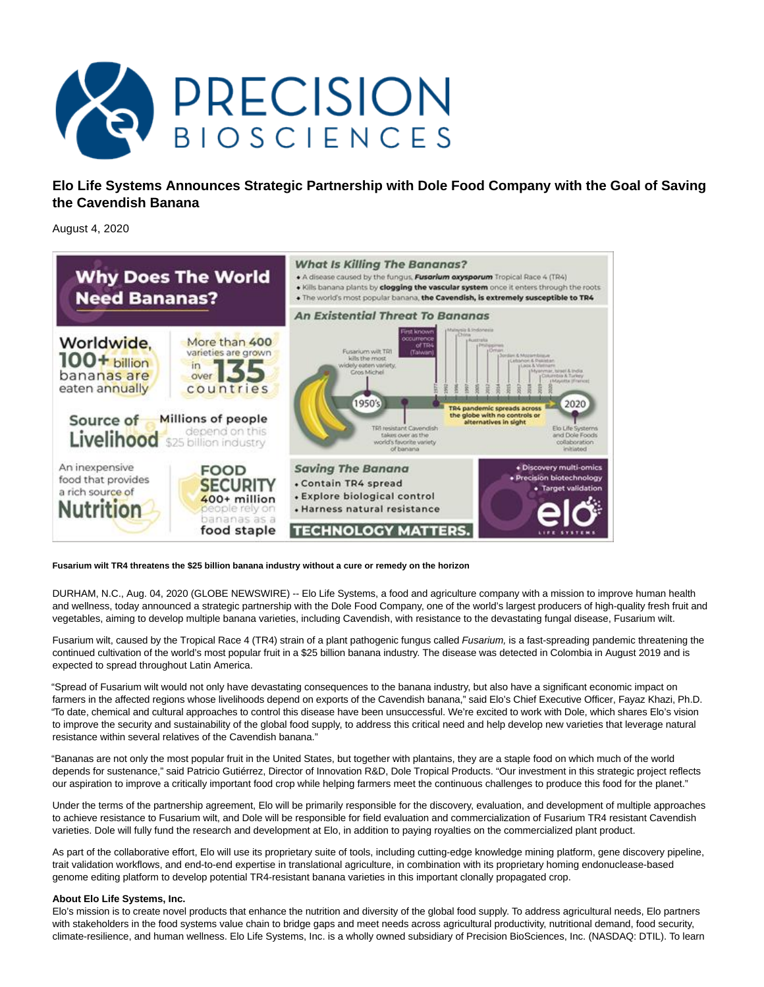

**Elo Life Systems Announces Strategic Partnership with Dole Food Company with the Goal of Saving the Cavendish Banana**

August 4, 2020



## **Fusarium wilt TR4 threatens the \$25 billion banana industry without a cure or remedy on the horizon**

DURHAM, N.C., Aug. 04, 2020 (GLOBE NEWSWIRE) -- Elo Life Systems, a food and agriculture company with a mission to improve human health and wellness, today announced a strategic partnership with the Dole Food Company, one of the world's largest producers of high-quality fresh fruit and vegetables, aiming to develop multiple banana varieties, including Cavendish, with resistance to the devastating fungal disease, Fusarium wilt.

Fusarium wilt, caused by the Tropical Race 4 (TR4) strain of a plant pathogenic fungus called Fusarium, is a fast-spreading pandemic threatening the continued cultivation of the world's most popular fruit in a \$25 billion banana industry. The disease was detected in Colombia in August 2019 and is expected to spread throughout Latin America.

"Spread of Fusarium wilt would not only have devastating consequences to the banana industry, but also have a significant economic impact on farmers in the affected regions whose livelihoods depend on exports of the Cavendish banana," said Elo's Chief Executive Officer, Fayaz Khazi, Ph.D. "To date, chemical and cultural approaches to control this disease have been unsuccessful. We're excited to work with Dole, which shares Elo's vision to improve the security and sustainability of the global food supply, to address this critical need and help develop new varieties that leverage natural resistance within several relatives of the Cavendish banana."

"Bananas are not only the most popular fruit in the United States, but together with plantains, they are a staple food on which much of the world depends for sustenance," said Patricio Gutiérrez, Director of Innovation R&D, Dole Tropical Products. "Our investment in this strategic project reflects our aspiration to improve a critically important food crop while helping farmers meet the continuous challenges to produce this food for the planet."

Under the terms of the partnership agreement, Elo will be primarily responsible for the discovery, evaluation, and development of multiple approaches to achieve resistance to Fusarium wilt, and Dole will be responsible for field evaluation and commercialization of Fusarium TR4 resistant Cavendish varieties. Dole will fully fund the research and development at Elo, in addition to paying royalties on the commercialized plant product.

As part of the collaborative effort, Elo will use its proprietary suite of tools, including cutting-edge knowledge mining platform, gene discovery pipeline, trait validation workflows, and end-to-end expertise in translational agriculture, in combination with its proprietary homing endonuclease-based genome editing platform to develop potential TR4-resistant banana varieties in this important clonally propagated crop.

## **About Elo Life Systems, Inc.**

Elo's mission is to create novel products that enhance the nutrition and diversity of the global food supply. To address agricultural needs, Elo partners with stakeholders in the food systems value chain to bridge gaps and meet needs across agricultural productivity, nutritional demand, food security, climate-resilience, and human wellness. Elo Life Systems, Inc. is a wholly owned subsidiary of Precision BioSciences, Inc. (NASDAQ: DTIL). To learn